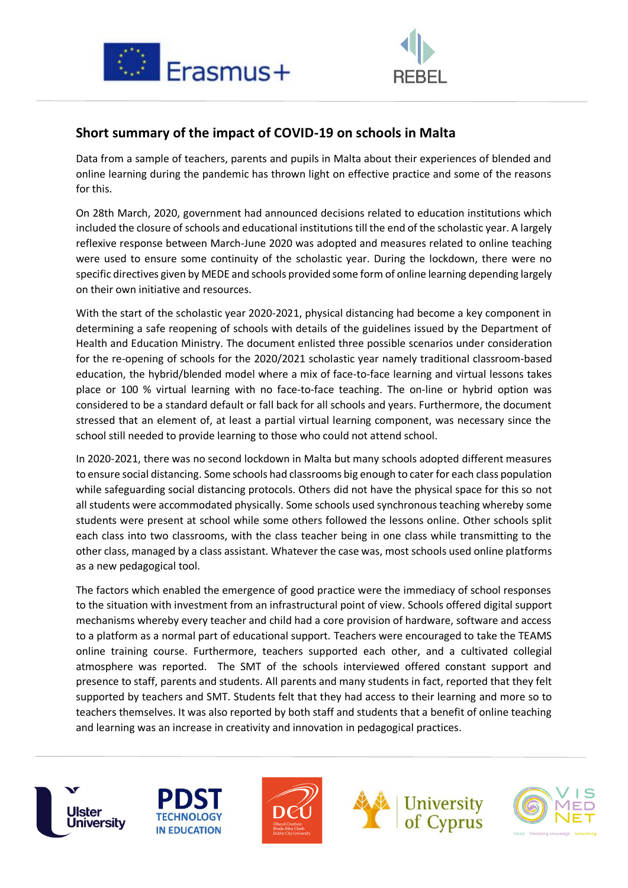



## **Short summary of the impact of COVID-19 on schools in Malta**

Data from a sample of teachers, parents and pupils in Malta about their experiences of blended and online learning during the pandemic has thrown light on effective practice and some of the reasons for this.

On 28th March, 2020, government had announced decisions related to education institutions which included the closure of schools and educational institutions till the end of the scholastic year. A largely reflexive response between March-June 2020 was adopted and measures related to online teaching were used to ensure some continuity of the scholastic year. During the lockdown, there were no specific directives given by MEDE and schools provided some form of online learning depending largely on their own initiative and resources.

With the start of the scholastic year 2020-2021, physical distancing had become a key component in determining a safe reopening of schools with details of the guidelines issued by the Department of Health and Education Ministry. The document enlisted three possible scenarios under consideration for the re-opening of schools for the 2020/2021 scholastic year namely traditional classroom-based education, the hybrid/blended model where a mix of face-to-face learning and virtual lessons takes place or 100 % virtual learning with no face-to-face teaching. The on-line or hybrid option was considered to be a standard default or fall back for all schools and years. Furthermore, the document stressed that an element of, at least a partial virtual learning component, was necessary since the school still needed to provide learning to those who could not attend school.

In 2020-2021, there was no second lockdown in Malta but many schools adopted different measures to ensure social distancing. Some schools had classrooms big enough to cater for each class population while safeguarding social distancing protocols. Others did not have the physical space for this so not all students were accommodated physically. Some schools used synchronous teaching whereby some students were present at school while some others followed the lessons online. Other schools split each class into two classrooms, with the class teacher being in one class while transmitting to the other class, managed by a class assistant. Whatever the case was, most schools used online platforms as a new pedagogical tool.

The factors which enabled the emergence of good practice were the immediacy of school responses to the situation with investment from an infrastructural point of view. Schools offered digital support mechanisms whereby every teacher and child had a core provision of hardware, software and access to a platform as a normal part of educational support. Teachers were encouraged to take the TEAMS online training course. Furthermore, teachers supported each other, and a cultivated collegial atmosphere was reported. The SMT of the schools interviewed offered constant support and presence to staff, parents and students. All parents and many students in fact, reported that they felt supported by teachers and SMT. Students felt that they had access to their learning and more so to teachers themselves. It was also reported by both staff and students that a benefit of online teaching and learning was an increase in creativity and innovation in pedagogical practices.